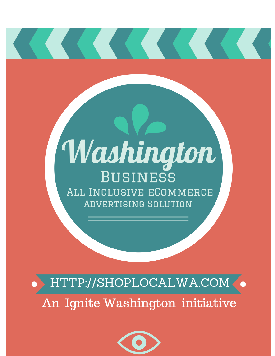# Washington **BUSINESS** ALL INCLUSIVE ECOMMERCE **ADVERTISING SOLUTION**

HTTP://SHOPLOCALWA.COM< An Ignite Washington initiative

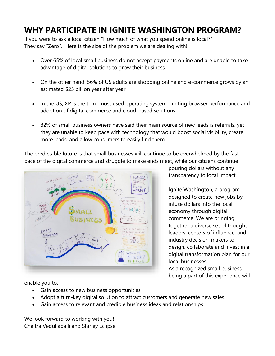# **WHY PARTICIPATE IN IGNITE WASHINGTON PROGRAM?**

If you were to ask a local citizen "How much of what you spend online is local?" They say "Zero". Here is the size of the problem we are dealing with!

- Over 65% of local small business do not accept payments online and are unable to take advantage of digital solutions to grow their business.
- On the other hand, 56% of US adults are shopping online and e-commerce grows by an estimated \$25 billion year after year.
- In the US, XP is the third most used operating system, limiting browser performance and adoption of digital commerce and cloud-based solutions.
- 82% of small business owners have said their main source of new leads is referrals, yet they are unable to keep pace with technology that would boost social visibility, create more leads, and allow consumers to easily find them.

The predictable future is that small businesses will continue to be overwhelmed by the fast pace of the digital commerce and struggle to make ends meet, while our citizens continue



pouring dollars without any transparency to local impact.

Ignite Washington, a program designed to create new jobs by infuse dollars into the local economy through digital commerce. We are bringing together a diverse set of thought leaders, centers of influence, and industry decision-makers to design, collaborate and invest in a digital transformation plan for our local businesses.

As a recognized small business, being a part of this experience will

enable you to:

- Gain access to new business opportunities
- Adopt a turn-key digital solution to attract customers and generate new sales
- Gain access to relevant and credible business ideas and relationships

We look forward to working with you! Chaitra Vedullapalli and Shirley Eclipse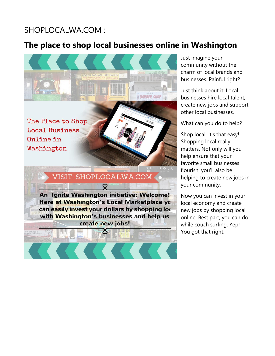## SHOPLOCALWA.COM :

# **The place to shop local businesses online in Washington**



Just imagine your community without the charm of local brands and businesses. Painful right?

Just think about it: Local businesses hire local talent, create new jobs and support other local businesses.

What can you do to help?

[Shop local.](https://www.scottsmarketplace.com/) It's that easy! Shopping local really matters. Not only will you help ensure that your favorite small businesses flourish, you'll also be helping to create new jobs in your community.

Now you can invest in your local economy and create new jobs by shopping local online. Best part, you can do while couch surfing. Yep! You got that right.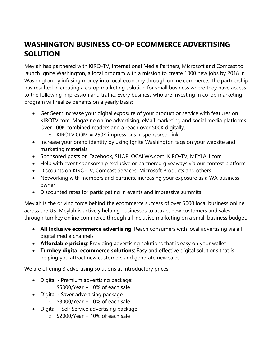## **WASHINGTON BUSINESS CO-OP ECOMMERCE ADVERTISING SOLUTION**

Meylah has partnered with KIRO-TV, International Media Partners, Microsoft and Comcast to launch Ignite Washington, a local program with a mission to create 1000 new jobs by 2018 in Washington by infusing money into local economy through online commerce. The partnership has resulted in creating a co-op marketing solution for small business where they have access to the following impression and traffic. Every business who are investing in co-op marketing program will realize benefits on a yearly basis:

- Get Seen: Increase your digital exposure of your product or service with features on KIROTV.com, Magazine online advertising, eMail marketing and social media platforms. Over 100K combined readers and a reach over 500K digitally.
	- $\circ$  KIROTV.COM = 250K impressions + sponsored Link
- Increase your brand identity by using Ignite Washington tags on your website and marketing materials
- Sponsored posts on Facebook, SHOPLOCALWA.com, KIRO-TV, MEYLAH.com
- Help with event sponsorship exclusive or partnered giveaways via our contest platform
- Discounts on KIRO-TV, Comcast Services, Microsoft Products and others
- Networking with members and partners, increasing your exposure as a WA business owner
- Discounted rates for participating in events and impressive summits

Meylah is the driving force behind the ecommerce success of over 5000 local business online across the US. Meylah is actively helping businesses to attract new customers and sales through turnkey online commerce through all inclusive marketing on a small business budget.

- **All Inclusive ecommerce advertising**: Reach consumers with local advertising via all digital media channels
- **Affordable pricing**: Providing advertising solutions that is easy on your wallet
- **Turnkey digital ecommerce solutions**: Easy and effective digital solutions that is helping you attract new customers and generate new sales.

We are offering 3 advertising solutions at introductory prices

- Digital Premium advertising package:
	- $\circ$  \$5000/Year + 10% of each sale
- Digital Saver advertising package
	- $\circ$  \$3000/Year + 10% of each sale
- Digital Self Service advertising package
	- $\circ$  \$2000/Year + 10% of each sale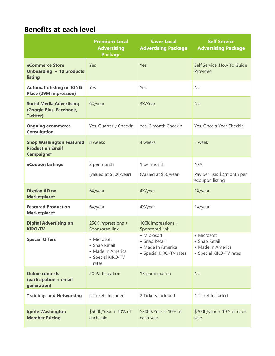## **Benefits at each level**

|                                                                               | <b>Premium Local</b><br><b>Advertising</b><br><b>Package</b>                    | <b>Saver Local</b><br><b>Advertising Package</b>                             | <b>Self Service</b><br><b>Advertising Package</b>                            |
|-------------------------------------------------------------------------------|---------------------------------------------------------------------------------|------------------------------------------------------------------------------|------------------------------------------------------------------------------|
| eCommerce Store<br>Onboarding + 10 products<br>listing                        | Yes                                                                             | Yes                                                                          | Self Service. How To Guide<br>Provided                                       |
| <b>Automatic listing on BING</b><br><b>Place (29M impression)</b>             | Yes                                                                             | Yes                                                                          | <b>No</b>                                                                    |
| <b>Social Media Advertising</b><br>(Google Plus, Facebook,<br><b>Twitter)</b> | 6X/year                                                                         | 3X/Year                                                                      | <b>No</b>                                                                    |
| <b>Ongoing ecommerce</b><br><b>Consultation</b>                               | Yes. Quarterly Checkin                                                          | Yes. 6 month Checkin                                                         | Yes. Once a Year Checkin                                                     |
| <b>Shop Washington Featured</b><br><b>Product on Email</b><br>Campaigns*      | 8 weeks                                                                         | 4 weeks                                                                      | 1 week                                                                       |
| eCoupon Listings                                                              | 2 per month                                                                     | 1 per month                                                                  | N/A                                                                          |
|                                                                               | (valued at \$100/year)                                                          | (Valued at \$50/year)                                                        | Pay per use: \$2/month per<br>ecoupon listing                                |
| <b>Display AD on</b><br>Marketplace*                                          | 6X/year                                                                         | 4X/year                                                                      | 1X/year                                                                      |
| <b>Featured Product on</b><br>Marketplace*                                    | 6X/year                                                                         | 4X/year                                                                      | 1X/year                                                                      |
| <b>Digital Advertising on</b><br><b>KIRO-TV</b>                               | 250K impressions +<br>Sponsored link                                            | 100K impressions +<br>Sponsored link                                         |                                                                              |
| <b>Special Offers</b>                                                         | · Microsoft<br>• Snap Retail<br>· Made In America<br>• Special KIRO-TV<br>rates | • Microsoft<br>• Snap Retail<br>· Made In America<br>• Special KIRO-TV rates | • Microsoft<br>• Snap Retail<br>· Made In America<br>• Special KIRO-TV rates |
| <b>Online contests</b><br>(participation + email<br>generation)               | 2X Participation                                                                | 1X participation                                                             | <b>No</b>                                                                    |
| <b>Trainings and Networking</b>                                               | 4 Tickets Included                                                              | 2 Tickets Included                                                           | 1 Ticket Included                                                            |
| <b>Ignite Washington</b><br><b>Member Pricing</b>                             | \$5000/Year + 10% of<br>each sale                                               | \$3000/Year + 10% of<br>each sale                                            | \$2000/year + 10% of each<br>sale                                            |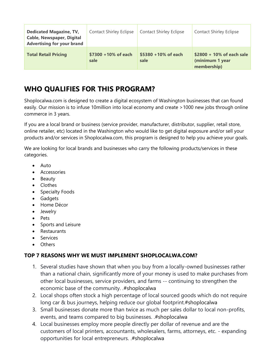| <b>Dedicated Magazine, TV,</b><br><b>Cable, Newspaper, Digital</b><br><b>Advertising for your brand</b> | <b>Contact Shirley Eclipse</b> | <b>Contact Shirley Eclipse</b> | <b>Contact Shirley Eclipse</b>                              |
|---------------------------------------------------------------------------------------------------------|--------------------------------|--------------------------------|-------------------------------------------------------------|
| <b>Total Retail Pricing</b>                                                                             | \$7300 +10% of each<br>sale    | \$5380 +10% of each<br>sale    | \$2800 + 10% of each sale<br>(minimum 1 year<br>membership) |

## **WHO QUALIFIES FOR THIS PROGRAM?**

Shoplocalwa.com is designed to create a digital ecosystem of Washington businesses that can found easily. Our mission is to infuse 10million into local economy and create >1000 new jobs through online commerce in 3 years.

If you are a local brand or business (service provider, manufacturer, distributor, supplier, retail store, online retailer, etc) located in the Washington who would like to get digital exposure and/or sell your products and/or services in Shoplocalwa.com, this program is designed to help you achieve your goals.

We are looking for local brands and businesses who carry the following products/services in these categories.

- Auto
- Accessories
- Beauty
- Clothes
- Specialty Foods
- Gadgets
- Home Décor
- Jewelry
- Pets
- Sports and Leisure
- Restaurants
- Services
- Others

#### **TOP 7 REASONS WHY WE MUST IMPLEMENT SHOPLOCALWA.COM?**

- 1. Several studies have shown that when you buy from a locally-owned businesses rather than a national chain, significantly more of your money is used to make purchases from other local businesses, service providers, and farms -- continuing to strengthen the economic base of the community. .#shoplocalwa
- 2. Local shops often stock a high percentage of local sourced goods which do not require long car & bus journeys, helping reduce our global footprint.#shoplocalwa
- 3. Small businesses donate more than twice as much per sales dollar to local non-profits, events, and teams compared to big businesses. .#shoplocalwa
- 4. Local businesses employ more people directly per dollar of revenue and are the customers of local printers, accountants, wholesalers, farms, attorneys, etc. - expanding opportunities for local entrepreneurs. .#shoplocalwa